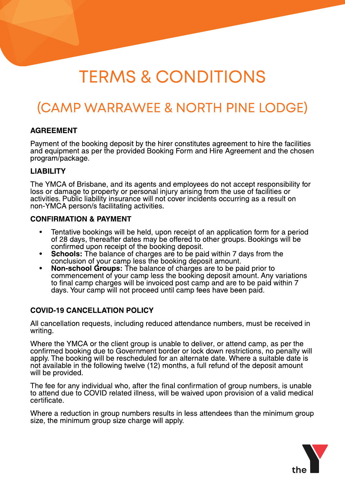# TERMS & CONDITIONS

# (CAMP WARRAWEE& NORTH PINELODGE)

#### AGREEMENT

Payment of the booking deposit by the hirer constitutes agreement to hire the facilities and equipment as per the provided Booking Form and Hire Agreement and the chosen program/package.

#### LIABILITY

The YMCA of Brisbane, and its agents and employees do not accept responsibility for loss or damage to property or personal injury arising from the use of facilities or activities. Public liability insurance will not cover incidents occurring as a result on non-YMCA person/s facilitating activities.

#### CONFIRMATION & PAYMENT

- Tentative bookings will be held, upon receipt of an application form for a period of 28 days, thereafter dates may be offered to other groups. Bookings will be confirmed upon receipt of the booking deposit.
- **Schools:** The balance of charges are to be paid within 7 days from the conclusion of your camp less the booking deposit amount.
- Non-school Groups: The balance of charges are to be paid prior to commencement of your camp less the booking deposit amount. Any variations to final camp charges will be invoiced post camp and are to be paid within 7 days. Your camp will not proceed until camp fees have been paid.

#### COVID-19 CANCELLATION POLICY

All cancellation requests, including reduced attendance numbers, must be received in writing.

Where the YMCA or the client group is unable to deliver, or attend camp, as per the confirmed booking due to Government border or lock down restrictions, no penalty will apply. The booking will be rescheduled for an alternate date. Where a suitable date is not available in the following twelve (12) months, a full refund of the deposit amount will be provided.

The fee for any individual who, after the final confirmation of group numbers, is unable to attend due to COVID related illness, will be waived upon provision of a valid medical certificate.

Where a reduction in group numbers results in less attendees than the minimum group size, the minimum group size charge will apply.

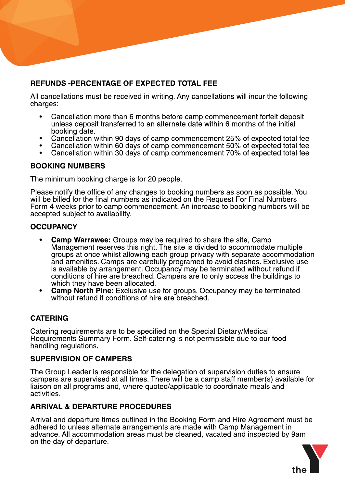# REFUNDS -PERCENTAGE OF EXPECTED TOTAL FEE

All cancellations must be received in writing. Any cancellations will incur the following charges:

- Cancellation more than 6 months before camp commencement forfeit deposit unless deposit transferred to an alternate date within 6 months of the initial booking date.
- Cancellation within 90 days of camp commencement 25% of expected total fee
- Cancellation within 60 days of camp commencement 50% of expected total fee
- Cancellation within 30 days of camp commencement 70% of expected total fee

#### BOOKING NUMBERS

The minimum booking charge is for 20 people.

Please notify the office of any changes to booking numbers as soon as possible. You will be billed for the final numbers as indicated on the Request For Final Numbers Form 4 weeks prior to camp commencement. An increase to booking numbers will be accepted subject to availability.

#### **OCCUPANCY**

- **Camp Warrawee:** Groups may be required to share the site, Camp Management reserves this right. The site is divided to accommodate multiple groups at once whilst allowing each group privacy with separate accommodation and amenities. Camps are carefully programed to avoid clashes. Exclusive use is available by arrangement. Occupancy may be terminated without refund if conditions of hire are breached. Campers are to only access the buildings to which they have been allocated.
- **Camp North Pine:** Exclusive use for groups. Occupancy may be terminated without refund if conditions of hire are breached.

# CATERING

Catering requirements are to be specified on the Special Dietary/Medical Requirements Summary Form. Self-catering is not permissible due to our food handling regulations.

#### SUPERVISION OF CAMPERS

The Group Leader is responsible for the delegation of supervision duties to ensure campers are supervised at all times. There will be a camp staff member(s) available for liaison on all programs and, where quoted/applicable to coordinate meals and activities.

# ARRIVAL & DEPARTURE PROCEDURES

Arrival and departure times outlined in the Booking Form and Hire Agreement must be adhered to unless alternate arrangements are made with Camp Management in advance. All accommodation areas must be cleaned, vacated and inspected by 9am on the day of departure.

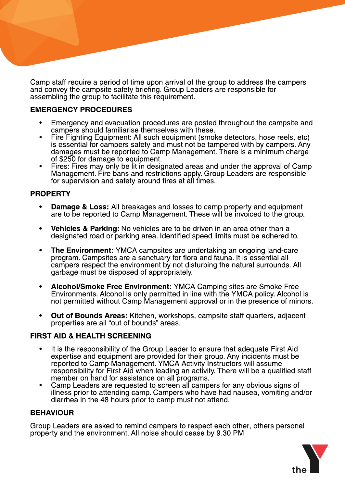Camp staff require a period of time upon arrival of the group to address the campers and convey the campsite safety briefing. Group Leaders are responsible for assembling the group to facilitate this requirement.

# EMERGENCY PROCEDURES

- Emergency and evacuation procedures are posted throughout the campsite and campers should familiarise themselves with these.
- Fire Fighting Equipment: All such equipment (smoke detectors, hose reels, etc) is essential for campers safety and must not be tampered with by campers. Any damages must be reported to Camp Management. There is a minimum charge of \$250 for damage to equipment.
- Fires: Fires may only be lit in designated areas and under the approval of Camp Management. Fire bans and restrictions apply. Group Leaders are responsible for supervision and safety around fires at all times.

#### PROPERTY

- Damage & Loss: All breakages and losses to camp property and equipment are to be reported to Camp Management. These will be invoiced to the group.
- Vehicles & Parking: No vehicles are to be driven in an area other than a designated road or parking area. Identified speed limits must be adhered to.
- The Environment: YMCA campsites are undertaking an ongoing land-care program. Campsites are a sanctuary for flora and fauna. It is essential all campers respect the environment by not disturbing the natural surrounds. All garbage must be disposed of appropriately.
- Alcohol/Smoke Free Environment: YMCA Camping sites are Smoke Free Environments. Alcohol is only permitted in line with the YMCA policy. Alcohol is not permitted without Camp Management approval or in the presence of minors.
- Out of Bounds Areas: Kitchen, workshops, campsite staff quarters, adjacent properties are all "out of bounds" areas.

# FIRST AID & HEALTH SCREENING

- It is the responsibility of the Group Leader to ensure that adequate First Aid expertise and equipment are provided for their group. Any incidents must be reported to Camp Management. YMCA Activity Instructors will assume responsibility for First Aid when leading an activity. There will be a qualified staff member on hand for assistance on all programs.
- Camp Leaders are requested to screen all campers for any obvious signs of illness prior to attending camp. Campers who have had nausea, vomiting and/or diarrhea in the 48 hours prior to camp must not attend.

#### BEHAVIOUR

Group Leaders are asked to remind campers to respect each other, others personal property and the environment. All noise should cease by 9.30 PM